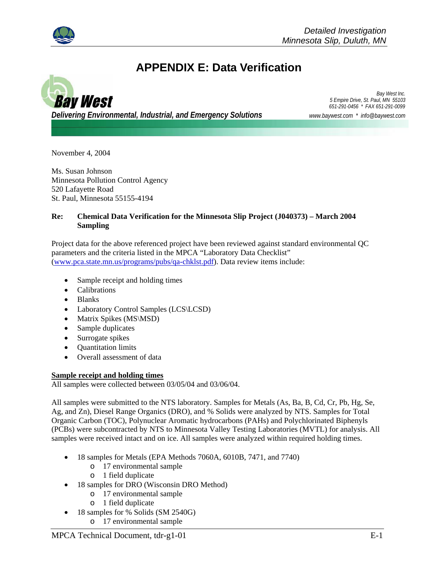

# **APPENDIX E: Data Verification**



*Delivering Environmental, Industrial, and Emergency Solutions www.baywest.com \* info@baywest.com*

*Bay West Inc. 5 Empire Drive, St. Paul, MN 55103 651-291-0456 \* FAX 651-291-0099*

November 4, 2004

Ms. Susan Johnson Minnesota Pollution Control Agency 520 Lafayette Road St. Paul, Minnesota 55155-4194

### **Re: Chemical Data Verification for the Minnesota Slip Project (J040373) – March 2004 Sampling**

Project data for the above referenced project have been reviewed against standard environmental QC parameters and the criteria listed in the MPCA "Laboratory Data Checklist" (www.pca.state.mn.us/programs/pubs/qa-chklst.pdf). Data review items include:

- Sample receipt and holding times
- Calibrations
- Blanks
- Laboratory Control Samples (LCS\LCSD)
- Matrix Spikes (MS\MSD)
- Sample duplicates
- Surrogate spikes
- Quantitation limits
- Overall assessment of data

## **Sample receipt and holding times**

All samples were collected between 03/05/04 and 03/06/04.

All samples were submitted to the NTS laboratory. Samples for Metals (As, Ba, B, Cd, Cr, Pb, Hg, Se, Ag, and Zn), Diesel Range Organics (DRO), and % Solids were analyzed by NTS. Samples for Total Organic Carbon (TOC), Polynuclear Aromatic hydrocarbons (PAHs) and Polychlorinated Biphenyls (PCBs) were subcontracted by NTS to Minnesota Valley Testing Laboratories (MVTL) for analysis. All samples were received intact and on ice. All samples were analyzed within required holding times.

- 18 samples for Metals (EPA Methods 7060A, 6010B, 7471, and 7740)
	- o 17 environmental sample
	- o 1 field duplicate
- 18 samples for DRO (Wisconsin DRO Method)
	- o 17 environmental sample
	- o 1 field duplicate
- 18 samples for % Solids (SM 2540G)
	- o 17 environmental sample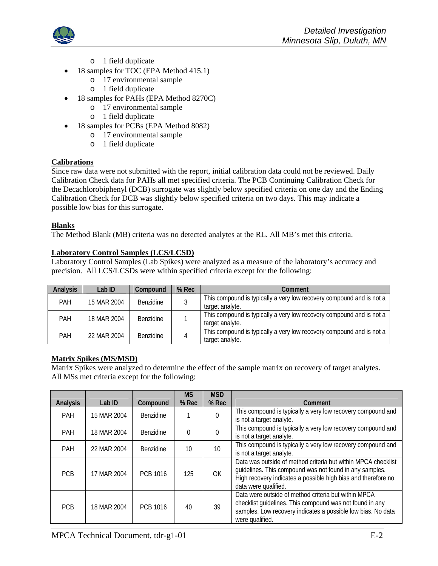

- o 1 field duplicate
- 18 samples for TOC (EPA Method 415.1)
	- o 17 environmental sample
		- o 1 field duplicate
- 18 samples for PAHs (EPA Method 8270C)
	- o 17 environmental sample
	- o 1 field duplicate
- 18 samples for PCBs (EPA Method 8082)
	- o 17 environmental sample
	- o 1 field duplicate

### **Calibrations**

Since raw data were not submitted with the report, initial calibration data could not be reviewed. Daily Calibration Check data for PAHs all met specified criteria. The PCB Continuing Calibration Check for the Decachlorobiphenyl (DCB) surrogate was slightly below specified criteria on one day and the Ending Calibration Check for DCB was slightly below specified criteria on two days. This may indicate a possible low bias for this surrogate.

### **Blanks**

The Method Blank (MB) criteria was no detected analytes at the RL. All MB's met this criteria.

### **Laboratory Control Samples (LCS/LCSD)**

Laboratory Control Samples (Lab Spikes) were analyzed as a measure of the laboratory's accuracy and precision. All LCS/LCSDs were within specified criteria except for the following:

| <b>Analysis</b> | Lab ID      | Compound         | $%$ Rec | Comment                                                                                 |
|-----------------|-------------|------------------|---------|-----------------------------------------------------------------------------------------|
| <b>PAH</b>      | 15 MAR 2004 | <b>Benzidine</b> |         | This compound is typically a very low recovery compound and is not a<br>target analyte. |
| PAH             | 18 MAR 2004 | <b>Benzidine</b> |         | This compound is typically a very low recovery compound and is not a<br>target analyte. |
| <b>PAH</b>      | 22 MAR 2004 | <b>Benzidine</b> |         | This compound is typically a very low recovery compound and is not a<br>target analyte. |

### **Matrix Spikes (MS/MSD)**

Matrix Spikes were analyzed to determine the effect of the sample matrix on recovery of target analytes. All MSs met criteria except for the following:

| Analysis   | Lab ID      | Compound  | <b>MS</b><br>% Rec | <b>MSD</b><br>% Rec | Comment                                                                                                                                                                                                           |
|------------|-------------|-----------|--------------------|---------------------|-------------------------------------------------------------------------------------------------------------------------------------------------------------------------------------------------------------------|
| <b>PAH</b> | 15 MAR 2004 | Benzidine |                    | $\Omega$            | This compound is typically a very low recovery compound and<br>is not a target analyte.                                                                                                                           |
| <b>PAH</b> | 18 MAR 2004 | Benzidine | $\Omega$           |                     | This compound is typically a very low recovery compound and<br>is not a target analyte.                                                                                                                           |
| <b>PAH</b> | 22 MAR 2004 | Benzidine | 10                 | 10                  | This compound is typically a very low recovery compound and<br>is not a target analyte.                                                                                                                           |
| <b>PCB</b> | 17 MAR 2004 | PCB 1016  | 125                | <b>OK</b>           | Data was outside of method criteria but within MPCA checklist<br>guidelines. This compound was not found in any samples.<br>High recovery indicates a possible high bias and therefore no<br>data were qualified. |
| <b>PCB</b> | 18 MAR 2004 | PCB 1016  | 40                 | 39                  | Data were outside of method criteria but within MPCA<br>checklist guidelines. This compound was not found in any<br>samples. Low recovery indicates a possible low bias. No data<br>were qualified.               |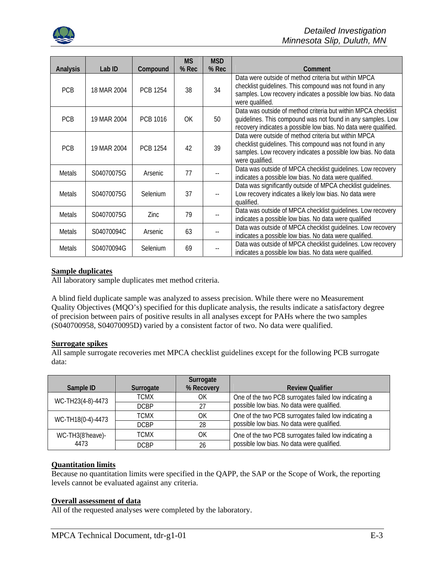

| <b>Analysis</b> | Lab ID      | Compound        | <b>MS</b><br>% Rec | <b>MSD</b><br>% Rec | Comment                                                                                                                                                                                             |
|-----------------|-------------|-----------------|--------------------|---------------------|-----------------------------------------------------------------------------------------------------------------------------------------------------------------------------------------------------|
| <b>PCB</b>      | 18 MAR 2004 | <b>PCB 1254</b> | 38                 | 34                  | Data were outside of method criteria but within MPCA<br>checklist guidelines. This compound was not found in any<br>samples. Low recovery indicates a possible low bias. No data<br>were qualified. |
| <b>PCB</b>      | 19 MAR 2004 | <b>PCB 1016</b> | OK.                | 50                  | Data was outside of method criteria but within MPCA checklist<br>guidelines. This compound was not found in any samples. Low<br>recovery indicates a possible low bias. No data were qualified.     |
| <b>PCB</b>      | 19 MAR 2004 | <b>PCB 1254</b> | 42                 | 39                  | Data were outside of method criteria but within MPCA<br>checklist guidelines. This compound was not found in any<br>samples. Low recovery indicates a possible low bias. No data<br>were qualified. |
| <b>Metals</b>   | S04070075G  | Arsenic         | 77                 |                     | Data was outside of MPCA checklist guidelines. Low recovery<br>indicates a possible low bias. No data were qualified.                                                                               |
| <b>Metals</b>   | S04070075G  | Selenium        | 37                 |                     | Data was significantly outside of MPCA checklist guidelines.<br>Low recovery indicates a likely low bias. No data were<br>qualified.                                                                |
| <b>Metals</b>   | S04070075G  | Zinc.           | 79                 |                     | Data was outside of MPCA checklist guidelines. Low recovery<br>indicates a possible low bias. No data were qualified                                                                                |
| <b>Metals</b>   | S04070094C  | Arsenic         | 63                 |                     | Data was outside of MPCA checklist guidelines. Low recovery<br>indicates a possible low bias. No data were qualified.                                                                               |
| Metals          | S04070094G  | Selenium        | 69                 |                     | Data was outside of MPCA checklist guidelines. Low recovery<br>indicates a possible low bias. No data were qualified.                                                                               |

### **Sample duplicates**

All laboratory sample duplicates met method criteria.

A blind field duplicate sample was analyzed to assess precision. While there were no Measurement Quality Objectives (MQO's) specified for this duplicate analysis, the results indicate a satisfactory degree of precision between pairs of positive results in all analyses except for PAHs where the two samples (S040700958, S04070095D) varied by a consistent factor of two. No data were qualified.

### **Surrogate spikes**

All sample surrogate recoveries met MPCA checklist guidelines except for the following PCB surrogate data:

| Sample ID         | Surrogate   | Surrogate<br>% Recovery | <b>Review Qualifier</b>                                                                             |
|-------------------|-------------|-------------------------|-----------------------------------------------------------------------------------------------------|
|                   |             |                         |                                                                                                     |
| WC-TH23(4-8)-4473 | TCMX        | ΟK                      | One of the two PCB surrogates failed low indicating a<br>possible low bias. No data were qualified. |
|                   | <b>DCBP</b> | 27                      |                                                                                                     |
| WC-TH18(0-4)-4473 | <b>TCMX</b> | ΟK                      | One of the two PCB surrogates failed low indicating a                                               |
|                   | <b>DCBP</b> | 28                      | possible low bias. No data were qualified.                                                          |
| WC-TH3(8'heave)-  | TCMX        | OK                      | One of the two PCB surrogates failed low indicating a                                               |
| 4473              | <b>DCBP</b> | 26                      | possible low bias. No data were qualified.                                                          |

### **Quantitation limits**

Because no quantitation limits were specified in the QAPP, the SAP or the Scope of Work, the reporting levels cannot be evaluated against any criteria.

#### **Overall assessment of data**

All of the requested analyses were completed by the laboratory.